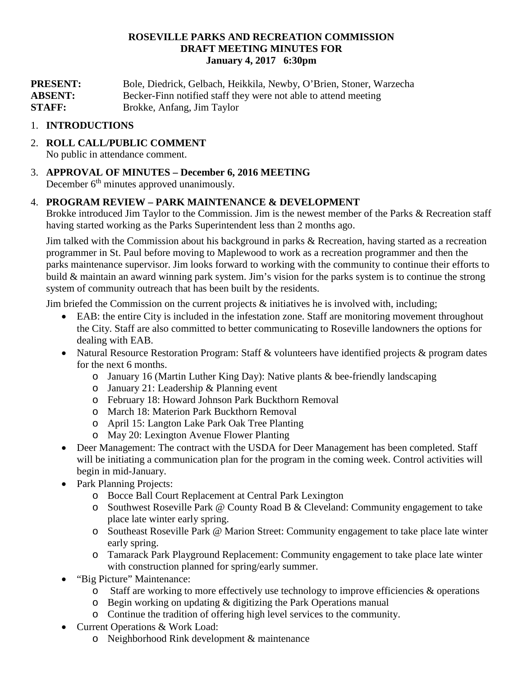#### **ROSEVILLE PARKS AND RECREATION COMMISSION DRAFT MEETING MINUTES FOR January 4, 2017 6:30pm**

**PRESENT:** Bole, Diedrick, Gelbach, Heikkila, Newby, O'Brien, Stoner, Warzecha **ABSENT:** Becker-Finn notified staff they were not able to attend meeting **STAFF:** Brokke, Anfang, Jim Taylor

### 1. **INTRODUCTIONS**

- 2. **ROLL CALL/PUBLIC COMMENT** No public in attendance comment.
- 3. **APPROVAL OF MINUTES – December 6, 2016 MEETING** December  $6<sup>th</sup>$  minutes approved unanimously.

### 4. **PROGRAM REVIEW – PARK MAINTENANCE & DEVELOPMENT**

Brokke introduced Jim Taylor to the Commission. Jim is the newest member of the Parks & Recreation staff having started working as the Parks Superintendent less than 2 months ago.

Jim talked with the Commission about his background in parks & Recreation, having started as a recreation programmer in St. Paul before moving to Maplewood to work as a recreation programmer and then the parks maintenance supervisor. Jim looks forward to working with the community to continue their efforts to build & maintain an award winning park system. Jim's vision for the parks system is to continue the strong system of community outreach that has been built by the residents.

Jim briefed the Commission on the current projects  $\&$  initiatives he is involved with, including;

- EAB: the entire City is included in the infestation zone. Staff are monitoring movement throughout the City. Staff are also committed to better communicating to Roseville landowners the options for dealing with EAB.
- Natural Resource Restoration Program: Staff & volunteers have identified projects & program dates for the next 6 months.
	- o January 16 (Martin Luther King Day): Native plants & bee-friendly landscaping
	- o January 21: Leadership & Planning event
	- o February 18: Howard Johnson Park Buckthorn Removal
	- o March 18: Materion Park Buckthorn Removal
	- o April 15: Langton Lake Park Oak Tree Planting
	- o May 20: Lexington Avenue Flower Planting
- Deer Management: The contract with the USDA for Deer Management has been completed. Staff will be initiating a communication plan for the program in the coming week. Control activities will begin in mid-January.
- Park Planning Projects:
	- o Bocce Ball Court Replacement at Central Park Lexington
	- o Southwest Roseville Park @ County Road B & Cleveland: Community engagement to take place late winter early spring.
	- o Southeast Roseville Park @ Marion Street: Community engagement to take place late winter early spring.
	- o Tamarack Park Playground Replacement: Community engagement to take place late winter with construction planned for spring/early summer.
- "Big Picture" Maintenance:
	- $\circ$  Staff are working to more effectively use technology to improve efficiencies & operations
	- o Begin working on updating & digitizing the Park Operations manual
	- o Continue the tradition of offering high level services to the community.
- Current Operations & Work Load:
	- o Neighborhood Rink development & maintenance